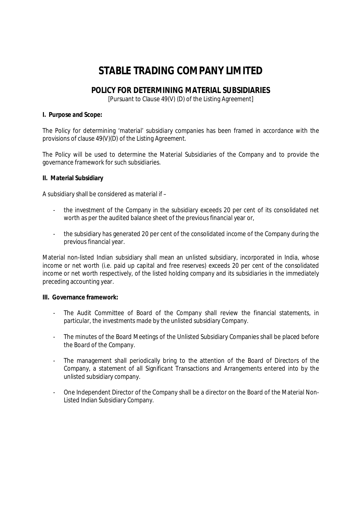# **STABLE TRADING COMPANY LIMITED**

## **POLICY FOR DETERMINING MATERIAL SUBSIDIARIES**

[Pursuant to Clause 49(V) (D) of the Listing Agreement]

#### **I. Purpose and Scope:**

The Policy for determining 'material' subsidiary companies has been framed in accordance with the provisions of clause 49(V)(D) of the Listing Agreement.

The Policy will be used to determine the Material Subsidiaries of the Company and to provide the governance framework for such subsidiaries.

#### **II. Material Subsidiary**

A subsidiary shall be considered as material if –

- the investment of the Company in the subsidiary exceeds 20 per cent of its consolidated net worth as per the audited balance sheet of the previous financial year or,
- the subsidiary has generated 20 per cent of the consolidated income of the Company during the previous financial year.

Material non-listed Indian subsidiary shall mean an unlisted subsidiary, incorporated in India, whose income or net worth (i.e. paid up capital and free reserves) exceeds 20 per cent of the consolidated income or net worth respectively, of the listed holding company and its subsidiaries in the immediately preceding accounting year.

#### **III. Governance framework:**

- The Audit Committee of Board of the Company shall review the financial statements, in particular, the investments made by the unlisted subsidiary Company.
- The minutes of the Board Meetings of the Unlisted Subsidiary Companies shall be placed before the Board of the Company.
- The management shall periodically bring to the attention of the Board of Directors of the Company, a statement of all Significant Transactions and Arrangements entered into by the unlisted subsidiary company.
- One Independent Director of the Company shall be a director on the Board of the Material Non-Listed Indian Subsidiary Company.